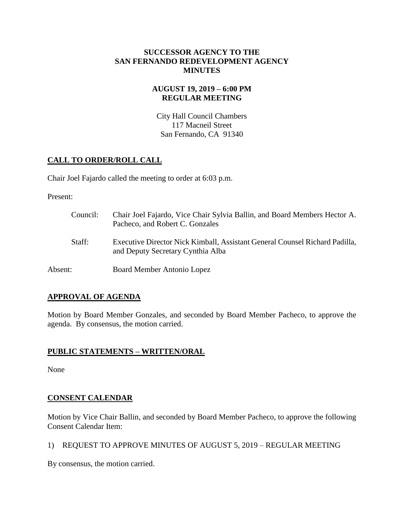## **SUCCESSOR AGENCY TO THE SAN FERNANDO REDEVELOPMENT AGENCY MINUTES**

## **AUGUST 19, 2019 – 6:00 PM REGULAR MEETING**

City Hall Council Chambers 117 Macneil Street San Fernando, CA 91340

# **CALL TO ORDER/ROLL CALL**

Chair Joel Fajardo called the meeting to order at 6:03 p.m.

Present:

| Council: | Chair Joel Fajardo, Vice Chair Sylvia Ballin, and Board Members Hector A.<br>Pacheco, and Robert C. Gonzales     |
|----------|------------------------------------------------------------------------------------------------------------------|
| Staff:   | Executive Director Nick Kimball, Assistant General Counsel Richard Padilla,<br>and Deputy Secretary Cynthia Alba |
| Absent:  | Board Member Antonio Lopez                                                                                       |

## **APPROVAL OF AGENDA**

Motion by Board Member Gonzales, and seconded by Board Member Pacheco, to approve the agenda. By consensus, the motion carried.

## **PUBLIC STATEMENTS – WRITTEN/ORAL**

None

# **CONSENT CALENDAR**

Motion by Vice Chair Ballin, and seconded by Board Member Pacheco, to approve the following Consent Calendar Item:

1) REQUEST TO APPROVE MINUTES OF AUGUST 5, 2019 – REGULAR MEETING

By consensus, the motion carried.